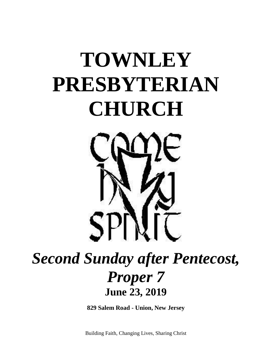# **TOWNLEY PRESBYTERIAN CHURCH**



## *Second Sunday after Pentecost, Proper 7* **June 23, 2019**

**829 Salem Road - Union, New Jersey**

Building Faith, Changing Lives, Sharing Christ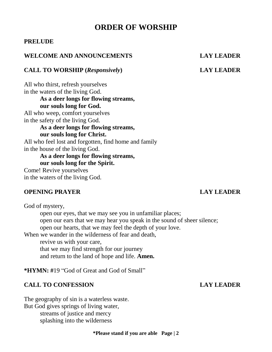### **ORDER OF WORSHIP**

#### **PRELUDE**

### **WELCOME AND ANNOUNCEMENTS LAY LEADER**

#### **CALL TO WORSHIP (***Responsively***) LAY LEADER**

All who thirst, refresh yourselves in the waters of the living God. **As a deer longs for flowing streams, our souls long for God.**  All who weep, comfort yourselves in the safety of the living God. **As a deer longs for flowing streams, our souls long for Christ.**  All who feel lost and forgotten, find home and family in the house of the living God. **As a deer longs for flowing streams, our souls long for the Spirit.** 

Come! Revive yourselves in the waters of the living God.

#### **OPENING PRAYER LAY LEADER**

God of mystery, open our eyes, that we may see you in unfamiliar places; open our ears that we may hear you speak in the sound of sheer silence; open our hearts, that we may feel the depth of your love. When we wander in the wilderness of fear and death, revive us with your care, that we may find strength for our journey and return to the land of hope and life. **Amen.**

**\*HYMN: #**19 "God of Great and God of Small"

#### **CALL TO CONFESSION LAY LEADER**

The geography of sin is a waterless waste. But God gives springs of living water, streams of justice and mercy splashing into the wilderness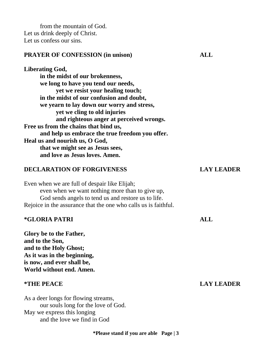from the mountain of God. Let us drink deeply of Christ. Let us confess our sins.

#### **PRAYER OF CONFESSION (in unison) ALL**

**Liberating God, in the midst of our brokenness, we long to have you tend our needs, yet we resist your healing touch; in the midst of our confusion and doubt, we yearn to lay down our worry and stress, yet we cling to old injuries and righteous anger at perceived wrongs. Free us from the chains that bind us, and help us embrace the true freedom you offer. Heal us and nourish us, O God, that we might see as Jesus sees, and love as Jesus loves. Amen.**

#### **DECLARATION OF FORGIVENESS LAY LEADER**

Even when we are full of despair like Elijah; even when we want nothing more than to give up, God sends angels to tend us and restore us to life. Rejoice in the assurance that the one who calls us is faithful.

#### **\*GLORIA PATRI ALL**

**Glory be to the Father, and to the Son, and to the Holy Ghost; As it was in the beginning, is now, and ever shall be, World without end. Amen.**

As a deer longs for flowing streams, our souls long for the love of God. May we express this longing and the love we find in God

#### **\*THE PEACE LAY LEADER**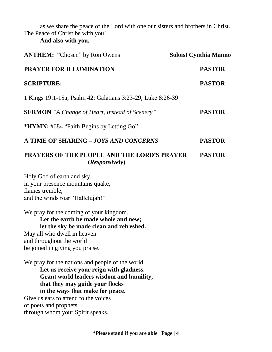as we share the peace of the Lord with one our sisters and brothers in Christ. The Peace of Christ be with you!

### **And also with you.**

| <b>ANTHEM:</b> "Chosen" by Ron Owens                                                                                                                                                                                                                                                                                  | <b>Soloist Cynthia Manno</b> |
|-----------------------------------------------------------------------------------------------------------------------------------------------------------------------------------------------------------------------------------------------------------------------------------------------------------------------|------------------------------|
| <b>PRAYER FOR ILLUMINATION</b>                                                                                                                                                                                                                                                                                        | <b>PASTOR</b>                |
| <b>SCRIPTURE:</b>                                                                                                                                                                                                                                                                                                     | <b>PASTOR</b>                |
| 1 Kings 19:1-15a; Psalm 42; Galatians 3:23-29; Luke 8:26-39                                                                                                                                                                                                                                                           |                              |
| <b>SERMON</b> "A Change of Heart, Instead of Scenery"                                                                                                                                                                                                                                                                 | <b>PASTOR</b>                |
| *HYMN: #684 "Faith Begins by Letting Go"                                                                                                                                                                                                                                                                              |                              |
| A TIME OF SHARING - JOYS AND CONCERNS                                                                                                                                                                                                                                                                                 | <b>PASTOR</b>                |
| <b>PRAYERS OF THE PEOPLE AND THE LORD'S PRAYER</b><br>(Responsively)                                                                                                                                                                                                                                                  | <b>PASTOR</b>                |
| Holy God of earth and sky,<br>in your presence mountains quake,<br>flames tremble,<br>and the winds roar "Hallelujah!"                                                                                                                                                                                                |                              |
| We pray for the coming of your kingdom.<br>Let the earth be made whole and new;<br>let the sky be made clean and refreshed.<br>May all who dwell in heaven<br>and throughout the world<br>be joined in giving you praise.                                                                                             |                              |
| We pray for the nations and people of the world.<br>Let us receive your reign with gladness.<br>Grant world leaders wisdom and humility,<br>that they may guide your flocks<br>in the ways that make for peace.<br>Give us ears to attend to the voices<br>of poets and prophets,<br>through whom your Spirit speaks. |                              |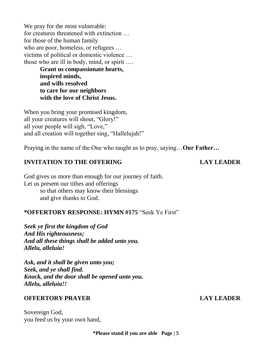We pray for the most vulnerable: for creatures threatened with extinction … for those of the human family who are poor, homeless, or refugees ... victims of political or domestic violence … those who are ill in body, mind, or spirit ….

**Grant us compassionate hearts, inspired minds, and wills resolved to care for our neighbors with the love of Christ Jesus.** 

When you bring your promised kingdom, all your creatures will shout, "Glory!" all your people will sigh, "Love," and all creation will together sing, "Hallelujah!"

Praying in the name of the One who taught us to pray, saying…**Our Father…**

### **INVITATION TO THE OFFERING LAY LEADER**

God gives us more than enough for our journey of faith. Let us present our tithes and offerings so that others may know their blessings and give thanks to God.

#### **\*OFFERTORY RESPONSE: HYMN #175** "Seek Ye First"

*Seek ye first the kingdom of God And His righteousness; And all these things shall be added unto you. Allelu, alleluia!*

*Ask, and it shall be given unto you; Seek, and ye shall find. Knock, and the door shall be opened unto you. Allelu, alleluia!!*

### **OFFERTORY PRAYER LAY LEADER**

Sovereign God, you feed us by your own hand,